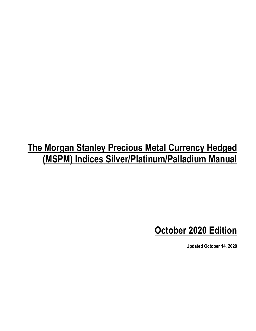# **The Morgan Stanley Precious Metal Currency Hedged (MSPM) Indices Silver/Platinum/Palladium Manual**

# **October 2020 Edition**

**Updated October 14, 2020**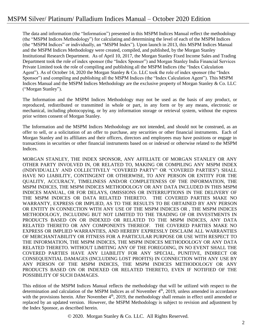The data and information (the "Information") presented in this MSPM Indices Manual reflect the methodology (the "MSPM Indices Methodology") for calculating and determining the level of each of the MSPM Indices (the "MSPM Indices" or individually, an "MSPM Index"). Upon launch in 2013, this MSPM Indices Manual and the MSPM Indices Methodology were created, compiled, and published, by the Morgan Stanley Institutional Research Department. As of April 10, 2017, the Morgan Stanley Fixed Income Sales and Trading Department took the role of index sponsor (the "Index Sponsor") and Morgan Stanley India Financial Services Private Limited took the role of compiling and publishing all the MSPM Indices (the "Index Calculation Agent"). As of October 14, 2020 the Morgan Stanley & Co. LLC took the role of index sponsor (the "Index Sponsor") and compiling and publishing all the MSPM Indices (the "Index Calculation Agent"). This MSPM Indices Manual and the MSPM Indices Methodology are the exclusive property of Morgan Stanley & Co. LLC ("Morgan Stanley").

The Information and the MSPM Indices Methodology may not be used as the basis of any product, or reproduced, redistributed or transmitted in whole or part, in any form or by any means, electronic or mechanical, including photocopying, or by any information storage or retrieval system, without the express prior written consent of Morgan Stanley.

The Information and the MSPM Indices Methodology are not intended, and should not be construed, as an offer to sell, or a solicitation of an offer to purchase, any securities or other financial instruments. Each of Morgan Stanley and its affiliates and their officers, directors and employees may have positions or engage in transactions in securities or other financial instruments based on or indexed or otherwise related to the MSPM Indices.

MORGAN STANLEY, THE INDEX SPONSOR, ANY AFFILIATE OF MORGAN STANLEY OR ANY OTHER PARTY INVOLVED IN, OR RELATED TO, MAKING OR COMPILING ANY MSPM INDEX (INDIVIDUALLY AND COLLECTIVELY "COVERED PARTY" OR "COVERED PARTIES") SHALL HAVE NO LIABILITY, CONTINGENT OR OTHERWISE, TO ANY PERSON OR ENTITY FOR THE QUALITY, ACCURACY, TIMELINESS AND/OR COMPLETENESS OF THE INFORMATION, THE MSPM INDICES, THE MSPM INDICES METHODOLOGY OR ANY DATA INCLUDED IN THIS MSPM INDICES MANUAL, OR FOR DELAYS, OMISSIONS OR INTERRUPTIONS IN THE DELIVERY OF THE MSPM INDICES OR DATA RELATED THERETO. THE COVERED PARTIES MAKE NO WARRANTY, EXPRESS OR IMPLIED, AS TO THE RESULTS TO BE OBTAINED BY ANY PERSON OR ENTITY IN CONNECTION WITH ANY USE OF THE MSPM INDICES OR , THE MSPM INDICES METHODOLOGY, INCLUDING BUT NOT LIMITED TO THE TRADING OF OR INVESTMENTS IN PRODUCTS BASED ON OR INDEXED OR RELATED TO THE MSPM INDICES, ANY DATA RELATED THERETO OR ANY COMPONENTS THEREOF. THE COVERED PARTIES MAKE NO EXPRESS OR IMPLIED WARRANTIES, AND HEREBY EXPRESSLY DISCLAIM ALL WARRANTIES OF MERCHANTABILITY OR FITNESS FOR A PARTICULAR PURPOSE OR USE WITH RESPECT TO THE INFORMATION, THE MSPM INDICES, THE MSPM INDICES METHODOLOGY OR ANY DATA RELATED THERETO. WITHOUT LIMITING ANY OF THE FOREGOING, IN NO EVENT SHALL THE COVERED PARTIES HAVE ANY LIABILITY FOR ANY SPECIAL, PUNITIVE, INDIRECT OR CONSEQUENTIAL DAMAGES (INCLUDING LOST PROFITS) IN CONNECTION WITH ANY USE BY ANY PERSON OF THE MSPM INDICES, THE MSPM INDICES METHODOLOGY OR ANY PRODUCTS BASED ON OR INDEXED OR RELATED THERETO, EVEN IF NOTIFIED OF THE POSSIBILITY OF SUCH DAMAGES.

This edition of the MSPM Indices Manual reflects the methodology that will be utilized with respect to the determination and calculation of the MSPM Indices as of November  $4<sup>th</sup>$ , 2019, unless amended in accordance with the provisions herein. After November  $4<sup>th</sup>$ , 2019, the methodology shall remain in effect until amended or replaced by an updated version. However, the MSPM Methodology is subject to revision and adjustment by the Index Sponsor, as described herein.

© 2020. Morgan Stanley & Co. LLC. All Rights Reserved.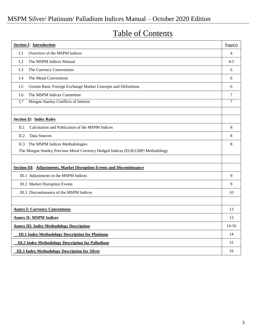## Table of Contents

| <b>Section I: Introduction</b>                                                   |         |  |  |  |
|----------------------------------------------------------------------------------|---------|--|--|--|
| I.1<br>Overview of the MSPM Indices                                              | 4       |  |  |  |
| I.2<br>The MSPM Indices Manual                                                   | $4 - 5$ |  |  |  |
| The Currency Conventions<br>I.3                                                  | 6       |  |  |  |
| The Metal Conventions<br>I.4                                                     | 6       |  |  |  |
| Certain Basic Foreign Exchange Market Concepts and Definitions<br>I.5            |         |  |  |  |
| I.6<br>The MSPM Indices Committee                                                |         |  |  |  |
| Morgan Stanley Conflicts of Interest<br>I.7                                      | $\tau$  |  |  |  |
|                                                                                  |         |  |  |  |
| <b>Section II: Index Rules</b>                                                   |         |  |  |  |
| Calculation and Publication of the MSPM Indices<br>$\Pi.1$                       | 8       |  |  |  |
| II.2<br>Data Sources                                                             | 8       |  |  |  |
| The MSPM Indices Methodologies<br>II.3                                           | 8       |  |  |  |
| The Morgan Stanley Precious Metal Currency Hedged Indices (EUR, GBP) Methodology |         |  |  |  |
|                                                                                  |         |  |  |  |
| <b>Section III: Adjustments, Market Disruption Events and Discontinuance</b>     |         |  |  |  |
| III.1 Adjustments to the MSPM Indices                                            | 9       |  |  |  |
| III.2 Market Disruption Events                                                   | 9       |  |  |  |
| III.3 Discontinuance of the MSPM Indices                                         | 10      |  |  |  |
|                                                                                  |         |  |  |  |
| <b>Annex I: Currency Conventions</b>                                             | 13      |  |  |  |
| <b>Annex II: MSPM Indices</b>                                                    |         |  |  |  |
| <b>Annex III: Index Methodology Description</b>                                  |         |  |  |  |
| <b>III.1 Index Methodology Description for Platinum</b>                          | 14      |  |  |  |
| <b>III.2 Index Methodology Description for Palladium</b>                         |         |  |  |  |
| <b>III.3 Index Methodology Description for Silver</b>                            |         |  |  |  |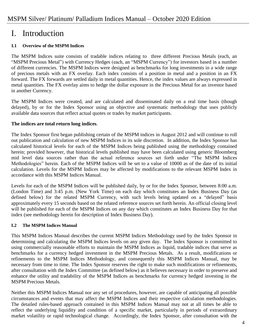## I. Introduction

### **I.1 Overview of the MSPM Indices**

The MSPM Indices suite consists of tradable indices relating to three different Precious Metals (each, an "MSPM Precious Metal") with Currency Hedges (each, an "MSPM Currency") for investors based in a number of different currencies. The MSPM Indices were designed as benchmarks for long investments in a wide range of precious metals with an FX overlay. Each index consists of a position in metal and a position in an FX forward. The FX forwards are settled daily in metal quantities. Hence, the index values are always expressed in metal quantities. The FX overlay aims to hedge the dollar exposure in the Precious Metal for an investor based in another Currency.

The MSPM Indices were created, and are calculated and disseminated daily on a real time basis (though delayed), by or for the Index Sponsor using an objective and systematic methodology that uses publicly available data sources that reflect actual quotes or trades by market participants.

### **The indices are total return long indices**.

The Index Sponsor first began publishing certain of the MSPM indices in August 2012 and will continue to roll out publication and calculation of new MSPM Indices in its sole discretion. In addition, the Index Sponsor has calculated historical levels for each of the MSPM Indices being published using the methodology contained herein; provided however, that historical levels published may have been calculated using generic Bloomberg mid level data sources rather than the actual reference sources set forth under "The MSPM Indices Methodologies" herein. Each of the MSPM Indices will be set to a value of 10000 as of the date of its initial calculation. Levels for the MSPM Indices may be affected by modifications to the relevant MSPM Index in accordance with this MSPM Indices Manual.

Levels for each of the MSPM Indices will be published daily, by or for the Index Sponsor, between 8:00 a.m. (London Time) and 3:45 p.m. (New York Time) on each day which constitutes an Index Business Day (as defined below) for the related MSPM Currency, with such levels being updated on a "delayed" basis approximately every 15 seconds based on the related reference sources set forth herein. An official closing level will be published for each of the MSPM Indices on any day which constitutes an Index Business Day for that index (see methodology herein for description of Index Business Day).

### **I.2 The MSPM Indices Manual**

This MSPM Indices Manual describes the current MSPM Indices Methodology used by the Index Sponsor in determining and calculating the MSPM Indices levels on any given day. The Index Sponsor is committed to using commercially reasonable efforts to maintain the MSPM Indices as liquid, tradable indices that serve as benchmarks for a currency hedged investment in the MSPM Precious Metals. As a result, modifications or refinements to the MSPM Indices Methodology, and consequently this MSPM Indices Manual, may be necessary from time to time. The Index Sponsor reserves the right to make such modifications or refinements, after consultation with the Index Committee (as defined below) as it believes necessary in order to preserve and enhance the utility and tradability of the MSPM Indices as benchmarks for currency hedged investing in the MSPM Precious Metals.

Neither this MSPM Indices Manual nor any set of procedures, however, are capable of anticipating all possible circumstances and events that may affect the MSPM Indices and their respective calculation methodologies. The detailed rules-based approach contained in this MSPM Indices Manual may not at all times be able to reflect the underlying liquidity and condition of a specific market, particularly in periods of extraordinary market volatility or rapid technological change. Accordingly, the Index Sponsor, after consultation with the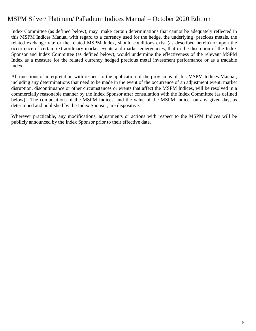Index Committee (as defined below), may make certain determinations that cannot be adequately reflected in this MSPM Indices Manual with regard to a currency used for the hedge, the underlying precious metals, the related exchange rate or the related MSPM Index, should conditions exist (as described herein) or upon the occurrence of certain extraordinary market events and market emergencies, that in the discretion of the Index Sponsor and Index Committee (as defined below), would undermine the effectiveness of the relevant MSPM Index as a measure for the related currency hedged precious metal investment performance or as a tradable index.

All questions of interpretation with respect to the application of the provisions of this MSPM Indices Manual, including any determinations that need to be made in the event of the occurrence of an adjustment event, market disruption, discontinuance or other circumstances or events that affect the MSPM Indices, will be resolved in a commercially reasonable manner by the Index Sponsor after consultation with the Index Committee (as defined below). The compositions of the MSPM Indices, and the value of the MSPM Indices on any given day, as determined and published by the Index Sponsor, are dispositive.

Wherever practicable, any modifications, adjustments or actions with respect to the MSPM Indices will be publicly announced by the Index Sponsor prior to their effective date.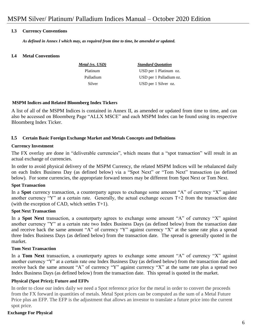### **I.3 Currency Conventions**

*As defined in Annex I which may, as required from time to time, be amended or updated.*

### **I.4 Metal Conventions**

 *Metal (vs. USD) Standard Quotation* Platinum USD per 1 Platinum oz. Palladium USD per 1 Palladium oz. Silver USD per 1 Silver oz.

#### **MSPM Indices and Related Bloomberg Index Tickers**

A list of all of the MSPM Indices is contained in Annex II, as amended or updated from time to time, and can also be accessed on Bloomberg Page "ALLX MSCE" and each MSPM Index can be found using its respective Bloomberg Index Ticker.

### **I.5 Certain Basic Foreign Exchange Market and Metals Concepts and Definitions**

### **Currency Investment**

The FX overlay are done in "deliverable currencies", which means that a "spot transaction" will result in an actual exchange of currencies.

In order to avoid physical delivery of the MSPM Currency, the related MSPM Indices will be rebalanced daily on each Index Business Day (as defined below) via a "Spot Next" or "Tom Next" transaction (as defined below). For some currencies, the appropriate forward tenors may be different from Spot Next or Tom Next.

### **Spot Transaction**

In a **Spot** currency transaction, a counterparty agrees to exchange some amount "A" of currency "X" against another currency "Y" at a certain rate. Generally, the actual exchange occurs T+2 from the transaction date (with the exception of CAD, which settles T+1).

### **Spot Next Transaction**

In a **Spot Next** transaction, a counterparty agrees to exchange some amount "A" of currency "X" against another currency "Y" at a certain rate two Index Business Days (as defined below) from the transaction date and receive back the same amount "A" of currency "Y" against currency "X" at the same rate plus a spread three Index Business Days (as defined below) from the transaction date. The spread is generally quoted in the market.

### **Tom Next Transaction**

In a **Tom Next** transaction, a counterparty agrees to exchange some amount "A" of currency "X" against another currency "Y" at a certain rate one Index Business Day (as defined below) from the transaction date and receive back the same amount "A" of currency "Y" against currency "X" at the same rate plus a spread two Index Business Days (as defined below) from the transaction date. This spread is quoted in the market.

### **Physical (Spot Price); Future and EFPs**

In order to close our index daily we need a Spot reference price for the metal in order to convert the proceeds from the FX forward in quantities of metals. Metal Spot prices can be computed as the sum of a Metal Future Price plus an EFP. The EFP is the adjustment that allows an investor to translate a future price into the current spot price.

### **Exchange For Physical**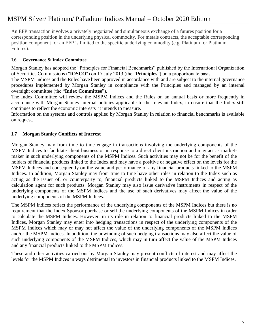An EFP transaction involves a privately negotiated and simultaneous exchange of a futures position for a corresponding position in the underlying physical commodity. For metals contracts, the acceptable corresponding position component for an EFP is limited to the specific underlying commodity (e.g. Platinum for Platinum Futures).

### **I.6 Governance & Index Committee**

Morgan Stanley has adopted the "Principles for Financial Benchmarks" published by the International Organization of Securities Commissions ("**IOSCO**") on 17 July 2013 (the "**Principles**") on a proportionate basis.

The MSPM Indices and the Rules have been approved in accordance with and are subject to the internal governance procedures implemented by Morgan Stanley in compliance with the Principles and managed by an internal oversight committee (the "**Index Committee**").

The Index Committee will review the MSPM Indices and the Rules on an annual basis or more frequently in accordance with Morgan Stanley internal policies applicable to the relevant Index, to ensure that the Index still continues to reflect the economic interests it intends to measure.

Information on the systems and controls applied by Morgan Stanley in relation to financial benchmarks is available on request.

### **I.7 Morgan Stanley Conflicts of Interest**

Morgan Stanley may from time to time engage in transactions involving the underlying components of the MSPM Indices to facilitate client business or in response to a direct client instruction and may act as marketmaker in such underlying components of the MSPM Indices. Such activities may not be for the benefit of the holders of financial products linked to the Index and may have a positive or negative effect on the levels for the MSPM Indices and consequently on the value and performance of any financial products linked to the MSPM Indices. In addition, Morgan Stanley may from time to time have other roles in relation to the Index such as acting as the issuer of, or counterparty to, financial products linked to the MSPM Indices and acting as calculation agent for such products. Morgan Stanley may also issue derivative instruments in respect of the underlying components of the MSPM Indices and the use of such derivatives may affect the value of the underlying components of the MSPM Indices.

The MSPM Indices reflect the performance of the underlying components of the MSPM Indices but there is no requirement that the Index Sponsor purchase or sell the underlying components of the MSPM Indices in order to calculate the MSPM Indices. However, in its role in relation to financial products linked to the MSPM Indices, Morgan Stanley may enter into hedging transactions in respect of the underlying components of the MSPM Indices which may or may not affect the value of the underlying components of the MSPM Indices and/or the MSPM Indices. In addition, the unwinding of such hedging transactions may also affect the value of such underlying components of the MSPM Indices, which may in turn affect the value of the MSPM Indices and any financial products linked to the MSPM Indices.

These and other activities carried out by Morgan Stanley may present conflicts of interest and may affect the levels for the MSPM Indices in ways detrimental to investors in financial products linked to the MSPM Indices.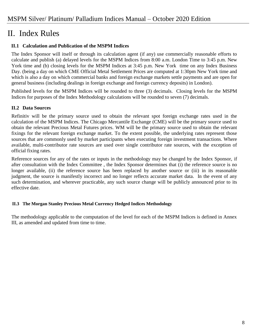## II. Index Rules

### **II.1 Calculation and Publication of the MSPM Indices**

The Index Sponsor will itself or through its calculation agent (if any) use commercially reasonable efforts to calculate and publish (a) delayed levels for the MSPM Indices from 8:00 a.m. London Time to 3:45 p.m. New York time and (b) closing levels for the MSPM Indices at 3:45 p.m. New York time on any Index Business Day. (being a day on which CME Official Metal Settlement Prices are computed at 1:30pm New York time and which is also a day on which commercial banks and foreign exchange markets settle payments and are open for general business (including dealings in foreign exchange and foreign currency deposits) in London).

Published levels for the MSPM Indices will be rounded to three (3) decimals. Closing levels for the MSPM Indices for purposes of the Index Methodology calculations will be rounded to seven (7) decimals.

### **II.2 Data Sources**

Refinitiv will be the primary source used to obtain the relevant spot foreign exchange rates used in the calculation of the MSPM Indices. The Chicago Mercantile Exchange (CME) will be the primary source used to obtain the relevant Precious Metal Futures prices. WM will be the primary source used to obtain the relevant fixings for the relevant foreign exchange market. To the extent possible, the underlying rates represent those sources that are commonly used by market participants when executing foreign investment transactions. Where available, multi-contributor rate sources are used over single contributor rate sources, with the exception of official fixing rates.

Reference sources for any of the rates or inputs in the methodology may be changed by the Index Sponsor, if after consultation with the Index Committee , the Index Sponsor determines that (i) the reference source is no longer available, (ii) the reference source has been replaced by another source or (iii) in its reasonable judgment, the source is manifestly incorrect and no longer reflects accurate market data. In the event of any such determination, and wherever practicable, any such source change will be publicly announced prior to its effective date.

### **II.3 The Morgan Stanley Precious Metal Currency Hedged Indices Methodology**

The methodology applicable to the computation of the level for each of the MSPM Indices is defined in Annex III, as amended and updated from time to time.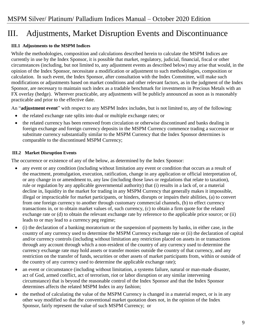## III. Adjustments, Market Disruption Events and Discontinuance

### **III.1 Adjustments to the MSPM Indices**

While the methodologies, composition and calculations described herein to calculate the MSPM Indices are currently in use by the Index Sponsor, it is possible that market, regulatory, judicial, financial, fiscal or other circumstances (including, but not limited to, any adjustment events as described below) may arise that would, in the opinion of the Index Sponsor, necessitate a modification or adjustment to such methodologies, composition or calculation. In such event, the Index Sponsor, after consultation with the Index Committee, will make such modifications or adjustments based on market conditions and other relevant factors, as in the judgment of the Index Sponsor, are necessary to maintain such index as a tradable benchmark for investments in Precious Metals with an FX overlay (hedge). Wherever practicable, any adjustments will be publicly announced as soon as is reasonably practicable and prior to the effective date.

An "**adjustment event**" with respect to any MSPM Index includes, but is not limited to, any of the following:

- the related exchange rate splits into dual or multiple exchange rates; or
- the related currency has been removed from circulation or otherwise discontinued and banks dealing in foreign exchange and foreign currency deposits in the MSPM Currency commence trading a successor or substitute currency substantially similar to the MSPM Currency that the Index Sponsor determines is comparable to the discontinued MSPM Currency;

### **III.2 Market Disruption Events**

The occurrence or existence of any of the below, as determined by the Index Sponsor:

- any event or any condition (including without limitation any event or condition that occurs as a result of the enactment, promulgation, execution, ratification, change in any application or official interpretation of, or any change in or amendment to, any law (including those laws or regulations that relate to taxation), rule or regulation by any applicable governmental authority) that (i) results in a lack of, or a material decline in, liquidity in the market for trading in any MSPM Currency that generally makes it impossible, illegal or impracticable for market participants, or hinders, disrupts or impairs their abilities, (a) to convert from one foreign currency to another through customary commercial channels, (b) to effect currency transactions in, or to obtain market values of, such currency, (c) to obtain a firm quote for the related exchange rate or (d) to obtain the relevant exchange rate by reference to the applicable price source; or (ii) leads to or may lead to a currency peg regime;
- (i) the declaration of a banking moratorium or the suspension of payments by banks, in either case, in the country of any currency used to determine the MSPM Currency exchange rate or (ii) the declaration of capital and/or currency controls (including without limitation any restriction placed on assets in or transactions through any account through which a non-resident of the country of any currency used to determine the currency exchange rate may hold assets or transfer monies outside the country of that currency, and any restriction on the transfer of funds, securities or other assets of market participants from, within or outside of the country of any currency used to determine the applicable exchange rate);
- an event or circumstance (including without limitation, a systems failure, natural or man-made disaster, act of God, armed conflict, act of terrorism, riot or labor disruption or any similar intervening circumstance) that is beyond the reasonable control of the Index Sponsor and that the Index Sponsor determines affects the related MSPM Index in any fashion;
- the method of calculating the value of the MSPM Currency is changed in a material respect, or is in any other way modified so that the conventional market quotation does not, in the opinion of the Index Sponsor, fairly represent the value of such MSPM Currency; or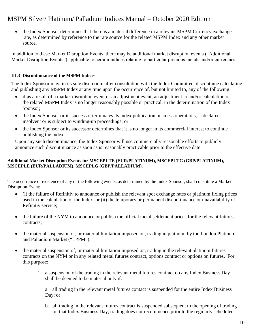• the Index Sponsor determines that there is a material difference in a relevant MSPM Currency exchange rate, as determined by reference to the rate source for the related MSPM Index and any other market source.

In addition to these Market Disruption Events, there may be additional market disruption events ("Additional Market Disruption Events") applicable to certain indices relating to particular precious metals and/or currencies.

### **III.3 Discontinuance of the MSPM Indices**

The Index Sponsor may, in its sole discretion, after consultation with the Index Committee, discontinue calculating and publishing any MSPM Index at any time upon the occurrence of, but not limited to, any of the following:

- if as a result of a market disruption event or an adjustment event, an adjustment to and/or calculation of the related MSPM Index is no longer reasonably possible or practical, in the determination of the Index Sponsor;
- the Index Sponsor or its successor terminates its index publication business operations, is declared insolvent or is subject to winding-up proceedings; or
- the Index Sponsor or its successor determines that it is no longer in its commercial interest to continue publishing the index.

Upon any such discontinuance, the Index Sponsor will use commercially reasonable efforts to publicly announce such discontinuance as soon as is reasonably practicable prior to the effective date.

### **Additional Market Disruption Events for MSCEPLTE (EUR/PLATINUM), MSCEPLTG (GBP/PLATINUM), MSCEPLE (EUR/PALLADIUM), MSCEPLG (GBP/PALLADIUM).**

The occurrence or existence of any of the following events, as determined by the Index Sponsor, shall constitute a Market Disruption Event:

- (i) the failure of Refinitiv to announce or publish the relevant spot exchange rates or platinum fixing prices used in the calculation of the Index or (ii) the temporary or permanent discontinuance or unavailability of Refinitiv service;
- the failure of the NYM to announce or publish the official metal settlement prices for the relevant futures contracts;
- the material suspension of, or material limitation imposed on, trading in platinum by the London Platinum and Palladium Market ("LPPM");
- the material suspension of, or material limitation imposed on, trading in the relevant platinum futures contracts on the NYM or in any related metal futures contract, options contract or options on futures. For this purpose:
	- 1. a suspension of the trading in the relevant metal futures contract on any Index Business Day shall be deemed to be material only if:

a. all trading in the relevant metal futures contact is suspended for the entire Index Business Day; or

b. all trading in the relevant futures contract is suspended subsequent to the opening of trading on that Index Business Day, trading does not recommence prior to the regularly scheduled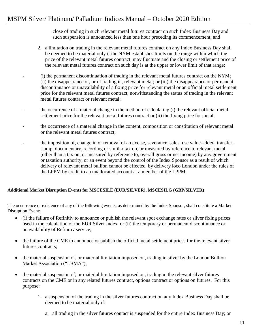close of trading in such relevant metal futures contract on such Index Business Day and such suspension is announced less than one hour preceding its commencement; and

- 2. a limitation on trading in the relevant metal futures contract on any Index Business Day shall be deemed to be material only if the NYM establishes limits on the range within which the price of the relevant metal futures contract may fluctuate and the closing or settlement price of the relevant metal futures contract on such day is at the upper or lower limit of that range;
- (i) the permanent discontinuation of trading in the relevant metal futures contract on the NYM; (ii) the disappearance of, or of trading in, relevant metal; or (iii) the disappearance or permanent discontinuance or unavailability of a fixing price for relevant metal or an official metal settlement price for the relevant metal futures contract, notwithstanding the status of trading in the relevant metal futures contract or relevant metal;
- the occurrence of a material change in the method of calculating (i) the relevant official metal settlement price for the relevant metal futures contract or (ii) the fixing price for metal;
- the occurrence of a material change in the content, composition or constitution of relevant metal or the relevant metal futures contract;
- the imposition of, change in or removal of an excise, severance, sales, use value-added, transfer, stamp, documentary, recording or similar tax on, or measured by reference to relevant metal (other than a tax on, or measured by reference to, overall gross or net income) by any government or taxation authority; or an event beyond the control of the Index Sponsor as a result of which delivery of relevant metal bullion cannot be effected by delivery loco London under the rules of the LPPM by credit to an unallocated account at a member of the LPPM.

### **Additional Market Disruption Events for MSCESILE (EUR/SILVER), MSCESILG (GBP/SILVER)**

The occurrence or existence of any of the following events, as determined by the Index Sponsor, shall constitute a Market Disruption Event:

- (i) the failure of Refinitiv to announce or publish the relevant spot exchange rates or silver fixing prices used in the calculation of the EUR Silver Index or (ii) the temporary or permanent discontinuance or unavailability of Refinitiv service;
- the failure of the CME to announce or publish the official metal settlement prices for the relevant silver futures contracts;
- the material suspension of, or material limitation imposed on, trading in silver by the London Bullion Market Association ("LBMA");
- the material suspension of, or material limitation imposed on, trading in the relevant silver futures contracts on the CME or in any related futures contract, options contract or options on futures. For this purpose:
	- 1. a suspension of the trading in the silver futures contract on any Index Business Day shall be deemed to be material only if:
		- a. all trading in the silver futures contact is suspended for the entire Index Business Day; or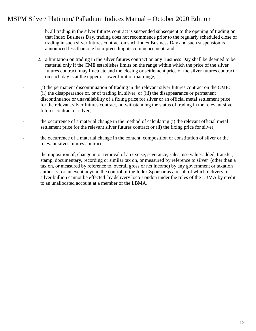b. all trading in the silver futures contract is suspended subsequent to the opening of trading on that Index Business Day, trading does not recommence prior to the regularly scheduled close of trading in such silver futures contract on such Index Business Day and such suspension is announced less than one hour preceding its commencement; and

- 2. a limitation on trading in the silver futures contract on any Business Day shall be deemed to be material only if the CME establishes limits on the range within which the price of the silver futures contract may fluctuate and the closing or settlement price of the silver futures contract on such day is at the upper or lower limit of that range;
- (i) the permanent discontinuation of trading in the relevant silver futures contract on the CME; (ii) the disappearance of, or of trading in, silver; or (iii) the disappearance or permanent discontinuance or unavailability of a fixing price for silver or an official metal settlement price for the relevant silver futures contract, notwithstanding the status of trading in the relevant silver futures contract or silver;
- the occurrence of a material change in the method of calculating (i) the relevant official metal settlement price for the relevant silver futures contract or (ii) the fixing price for silver;
- the occurrence of a material change in the content, composition or constitution of silver or the relevant silver futures contract;
- the imposition of, change in or removal of an excise, severance, sales, use value-added, transfer, stamp, documentary, recording or similar tax on, or measured by reference to silver (other than a tax on, or measured by reference to, overall gross or net income) by any government or taxation authority; or an event beyond the control of the Index Sponsor as a result of which delivery of silver bullion cannot be effected by delivery loco London under the rules of the LBMA by credit to an unallocated account at a member of the LBMA.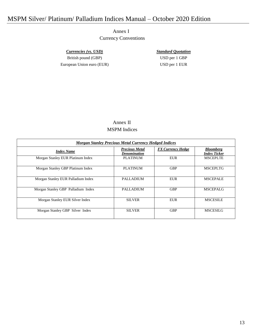Annex I Currency Conventions

*Currencies (vs. USD) Standard Quotation* British pound (GBP) USD per 1 GBP European Union euro (EUR) USD per 1 EUR

### Annex II MSPM Indices

| <b>Morgan Stanley Precious Metal Currency Hedged Indices</b> |                                       |                          |                                         |  |  |
|--------------------------------------------------------------|---------------------------------------|--------------------------|-----------------------------------------|--|--|
| <b>Index Name</b>                                            | <b>Precious Metal</b><br>Denomination | <b>FX Currency Hedge</b> | <b>Bloomberg</b><br><b>Index Ticker</b> |  |  |
| Morgan Stanley EUR Platinum Index                            | <b>PLATINUM</b>                       | <b>EUR</b>               | <b>MSCEPLTE</b>                         |  |  |
| Morgan Stanley GBP Platinum Index                            | <b>PLATINUM</b>                       | <b>GBP</b>               | <b>MSCEPLTG</b>                         |  |  |
| Morgan Stanley EUR Palladium Index                           | <b>PALLADIUM</b>                      | EUR                      | <b>MSCEPALE</b>                         |  |  |
| Morgan Stanley GBP Palladium Index                           | <b>PALLADIUM</b>                      | <b>GBP</b>               | <b>MSCEPALG</b>                         |  |  |
| Morgan Stanley EUR Silver Index                              | <b>SILVER</b>                         | <b>EUR</b>               | <b>MSCESILE</b>                         |  |  |
| Morgan Stanley GBP Silver Index                              | <b>SILVER</b>                         | <b>GBP</b>               | <b>MSCESILG</b>                         |  |  |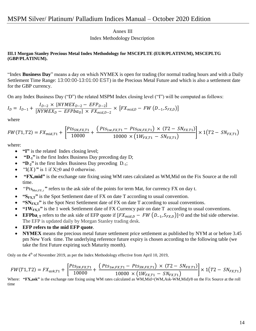Annex III

Index Methodology Description

### **III.1 Morgan Stanley Precious Metal Index Methodology for MSCEPLTE (EUR/PLATINUM), MSCEPLTG (GBP/PLATINUM).**

"Index **Business Day**" means a day on which NYMEX is open for trading (for normal trading hours and with a Daily Settlement Time Range: 13:00:00-13:01:00 EST) in the Precious Metal Future and which is also a settlement date for the GBP currency.

On any Index Business Day ("D") the related MSPM Index closing level ("I") will be computed as follows:

$$
I_D = I_{D-1} + \frac{I_{D-2} \times [NYMEX_{D-2} - EFP_{D-2}]}{[NYMEX_D - EFPba_D] \times FX_{mid,D-2}} \times [FX_{mid,D} - FW(D_{-1}, S_{FX,D})]
$$

where

$$
FW(T1, T2) = FX_{mid,T1} + \left[ \frac{Pts_{SN,FX,T1}}{10000} + \frac{(Pts_{1w,FX,T1} - pts_{SN,FX,T1}) \times (T2 - SN_{FX,T1})}{10000 \times (1W_{FX,T1} - SN_{FX,T1})} \right] \times 1(T2 - SN_{FX,T1})
$$

where:

- **"I"** is the related Index closing level;
- **"D-1"** is the first Index Business Day preceding day D;
- **"D-2"** is the first Index Business Day preceding D-1;
- $\bullet$  "1(*X*)" is 1 if X\piril and 0 otherwise.
- **"FX,mid"** is the exchange rate fixing using WM rates calculated as WM,Mid on the Fix Source at the roll time.
- "Pts<sub>Mat,FX,t</sub>" refers to the ask side of the points for term Mat, for currency FX on day t.
- **\*** "S<sub>FXJ</sub>" is the Spot Settlement date of FX on date T according to usual convention.
- **"SNFX,T"** is the Spot Next Settlement date of FX on date T according to usual conventions.
- **"1WFX,T"** is the 1 week Settlement date of FX Currency pair on date T according to usual conventions.
- **EFPba**<sub>, T</sub> refers to the ask side of EFP quote if  $[FX_{mid,D} FW (D_{-1}, S_{FX,D})]$  < 0 and the bid side otherwise. The EFP is updated daily by Morgan Stanley trading desk.
- **EFP refers to the mid EFP quote**.
- **NYMEX** means the precious metal future settlement price settlement as published by NYM at or before 3.45 pm New York time. The underlying reference future expiry is chosen according to the following table (we take the first Future expiring such Maturity month).

Only on the  $4<sup>th</sup>$  of November 2019, as per the Index Methodology effective from April 10, 2019,

$$
FW(T1, T2) = FX_{ask,T1} + \left[ \frac{Pts_{SN,FX,T1}}{10000} + \frac{(Pts_{1w,FX,T1} - pts_{SN,FX,T1}) \times (T2 - SN_{FX,T1})}{10000 \times (1W_{FX,T1} - SN_{FX,T1})} \right] \times 1(T2 - SN_{FX,T1})
$$

Where: **"FX,ask"** is the exchange rate fixing using WM rates calculated as WM,Mid+(WM,Ask-WM,Mid)/8 on the Fix Source at the roll time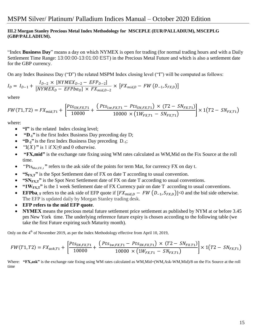### **III.2 Morgan Stanley Precious Metal Index Methodology for MSCEPLE (EUR/PALLADIUM), MSCEPLG (GBP/PALLADIUM).**

"Index **Business Day**" means a day on which NYMEX is open for trading (for normal trading hours and with a Daily Settlement Time Range: 13:00:00-13:01:00 EST) in the Precious Metal Future and which is also a settlement date for the GBP currency.

On any Index Business Day ("D") the related MSPM Index closing level ("I") will be computed as follows:

$$
I_{D} = I_{D-1} + \frac{I_{D-2} \times [NYMEX_{D-2} - EFP_{D-2}]}{[NYMEX_{D} - EFPba_{D}] \times FX_{mid,D-2}} \times [FX_{mid,D} - FW(D_{-1}, S_{FX,D})]
$$

where

$$
FW(T1,T2) = FX_{mid,T1} + \left[ \frac{Pts_{SN,FX,T1}}{10000} + \frac{(Pts_{1w,FX,T1} - pts_{SN,FX,T1}) \times (T2 - SN_{FX,T1})}{10000 \times (1W_{FX,T1} - SN_{FX,T1})} \right] \times 1(T2 - SN_{FX,T1})
$$

where:

- **"I"** is the related Index closing level;
- **"D-1"** is the first Index Business Day preceding day D;
- **"D-2"** is the first Index Business Day preceding D-1;
- $\bullet$  "1(*X*)" is 1 if X\piril and 0 otherwise.
- **"FX,mid"** is the exchange rate fixing using WM rates calculated as WM,Mid on the Fix Source at the roll time.
- "Pts<sub>Mat,FX,t</sub>" refers to the ask side of the points for term Mat, for currency FX on day t.
- **"SFX,T"** is the Spot Settlement date of FX on date T according to usual convention.
- **"SNFX,T"** is the Spot Next Settlement date of FX on date T according to usual conventions.
- **"1WFX,T"** is the 1 week Settlement date of FX Currency pair on date T according to usual conventions.
- **EFPba**<sub>, T</sub> refers to the ask side of EFP quote if  $[FX_{mid,D} FW (D_{-1}, S_{FX,D})]$ <0 and the bid side otherwise. The EFP is updated daily by Morgan Stanley trading desk.
- **EFP refers to the mid EFP quote**.
- **NYMEX** means the precious metal future settlement price settlement as published by NYM at or before 3.45 pm New York time. The underlying reference future expiry is chosen according to the following table (we take the first Future expiring such Maturity month).

Only on the 4<sup>th</sup> of November 2019, as per the Index Methodology effective from April 10, 2019,

$$
FW(T1, T2) = FX_{ask,T1} + \left[ \frac{Pts_{SN,FX,T1}}{10000} + \frac{(Pts_{1w,FX,T1} - pts_{SN,FX,T1}) \times (T2 - SN_{FX,T1})}{10000 \times (1W_{FX,T1} - SN_{FX,T1})} \right] \times 1(T2 - SN_{FX,T1})
$$

Where: **"FX,ask"** is the exchange rate fixing using WM rates calculated as WM,Mid+(WM,Ask-WM,Mid)/8 on the Fix Source at the roll time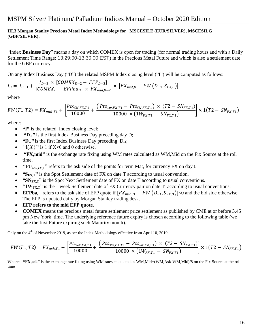### **III.3 Morgan Stanley Precious Metal Index Methodology for MSCESILE (EUR/SILVER), MSCESILG (GBP/SILVER).**

"Index **Business Day**" means a day on which COMEX is open for trading (for normal trading hours and with a Daily Settlement Time Range: 13:29:00-13:30:00 EST) in the Precious Metal Future and which is also a settlement date for the GBP currency.

On any Index Business Day ("D") the related MSPM Index closing level ("I") will be computed as follows:

$$
I_{D} = I_{D-1} + \frac{I_{D-2} \times [COMEX_{D-2} - EFP_{D-2}]}{[COMEX_{D} - EFPba_{D}] \times FX_{mid,D-2}} \times [FX_{mid,D} - FW (D_{-1}, S_{FX,D})]
$$

where

$$
FW(T1,T2) = FX_{mid,T1} + \left[ \frac{Pts_{SN,FX,T1}}{10000} + \frac{(Pts_{1w,FX,T1} - pts_{SN,FX,T1}) \times (T2 - SN_{FX,T1})}{10000 \times (1W_{FX,T1} - SN_{FX,T1})} \right] \times 1(T2 - SN_{FX,T1})
$$

where:

- **"I"** is the related Index closing level;
- **"D-1"** is the first Index Business Day preceding day D;
- **"D-2"** is the first Index Business Day preceding D-1;
- $\bullet$  "1(*X*)" is 1 if X\piril and 0 otherwise.
- **"FX,mid"** is the exchange rate fixing using WM rates calculated as WM,Mid on the Fix Source at the roll time.
- "Pts<sub>Mat,FX,t</sub>" refers to the ask side of the points for term Mat, for currency FX on day t.
- **\*** "S<sub>FXJ</sub>" is the Spot Settlement date of FX on date T according to usual convention.
- **"SNFX,T"** is the Spot Next Settlement date of FX on date T according to usual conventions.
- **"1WFX,T"** is the 1 week Settlement date of FX Currency pair on date T according to usual conventions.
- **EFPba**<sub>, T</sub> refers to the ask side of EFP quote if  $[FX_{mid,D} FW (D_{-1}, S_{FX,D})]$ <0 and the bid side otherwise. The EFP is updated daily by Morgan Stanley trading desk.
- **EFP refers to the mid EFP quote**.
- **COMEX** means the precious metal future settlement price settlement as published by CME at or before 3.45 pm New York time. The underlying reference future expiry is chosen according to the following table (we take the first Future expiring such Maturity month).

Only on the 4<sup>th</sup> of November 2019, as per the Index Methodology effective from April 10, 2019,

$$
FW(T1, T2) = FX_{ask,T1} + \left[ \frac{Pts_{SN,FX,T1}}{10000} + \frac{(Pts_{1w,FX,T1} - pts_{SN,FX,T1}) \times (T2 - SN_{FX,T1})}{10000 \times (1W_{FX,T1} - SN_{FX,T1})} \right] \times 1(T2 - SN_{FX,T1})
$$

Where: **"FX,ask"** is the exchange rate fixing using WM rates calculated as WM,Mid+(WM,Ask-WM,Mid)/8 on the Fix Source at the roll time